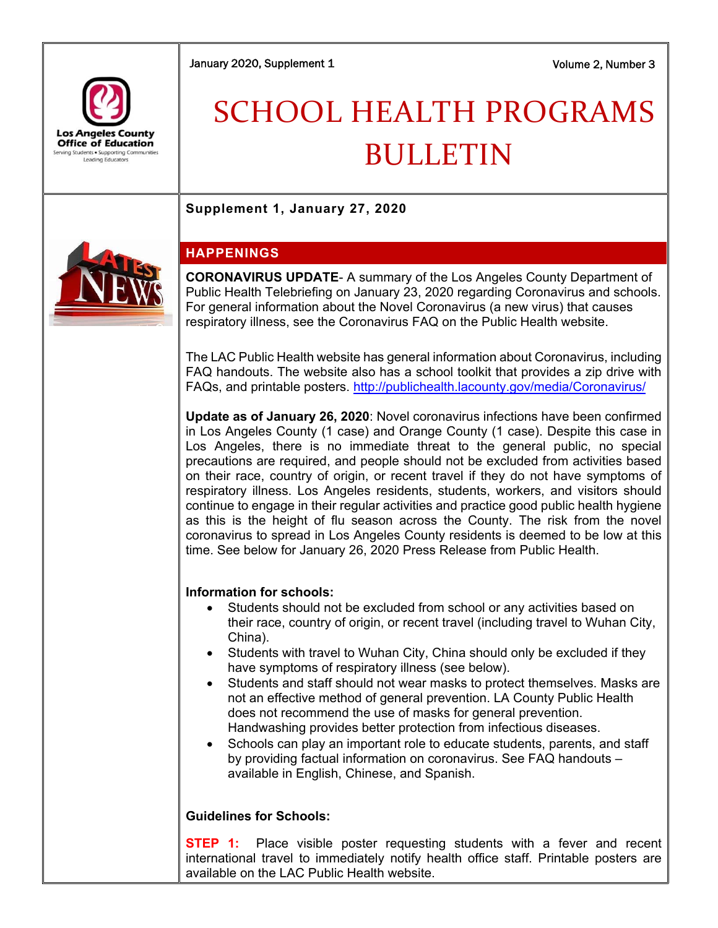January 2020, Supplement 1 Volume 2, Number 3



# SCHOOL HEALTH PROGRAMS BULLETIN

**Supplement 1, January 27, 2020** 



## **HAPPENINGS**

**CORONAVIRUS UPDATE**- A summary of the Los Angeles County Department of Public Health Telebriefing on January 23, 2020 regarding Coronavirus and schools. For general information about the Novel Coronavirus (a new virus) that causes respiratory illness, see the Coronavirus FAQ on the Public Health website.

The LAC Public Health website has general information about Coronavirus, including FAQ handouts. The website also has a school toolkit that provides a zip drive with FAQs, and printable posters. http://publichealth.lacounty.gov/media/Coronavirus/

**Update as of January 26, 2020**: Novel coronavirus infections have been confirmed in Los Angeles County (1 case) and Orange County (1 case). Despite this case in Los Angeles, there is no immediate threat to the general public, no special precautions are required, and people should not be excluded from activities based on their race, country of origin, or recent travel if they do not have symptoms of respiratory illness. Los Angeles residents, students, workers, and visitors should continue to engage in their regular activities and practice good public health hygiene as this is the height of flu season across the County. The risk from the novel coronavirus to spread in Los Angeles County residents is deemed to be low at this time. See below for January 26, 2020 Press Release from Public Health.

## **Information for schools:**

- Students should not be excluded from school or any activities based on their race, country of origin, or recent travel (including travel to Wuhan City, China).
- Students with travel to Wuhan City, China should only be excluded if they have symptoms of respiratory illness (see below).
- Students and staff should not wear masks to protect themselves. Masks are not an effective method of general prevention. LA County Public Health does not recommend the use of masks for general prevention. Handwashing provides better protection from infectious diseases.
- Schools can play an important role to educate students, parents, and staff by providing factual information on coronavirus. See FAQ handouts – available in English, Chinese, and Spanish.

## **Guidelines for Schools:**

**STEP 1:** Place visible poster requesting students with a fever and recent international travel to immediately notify health office staff. Printable posters are available on the LAC Public Health website.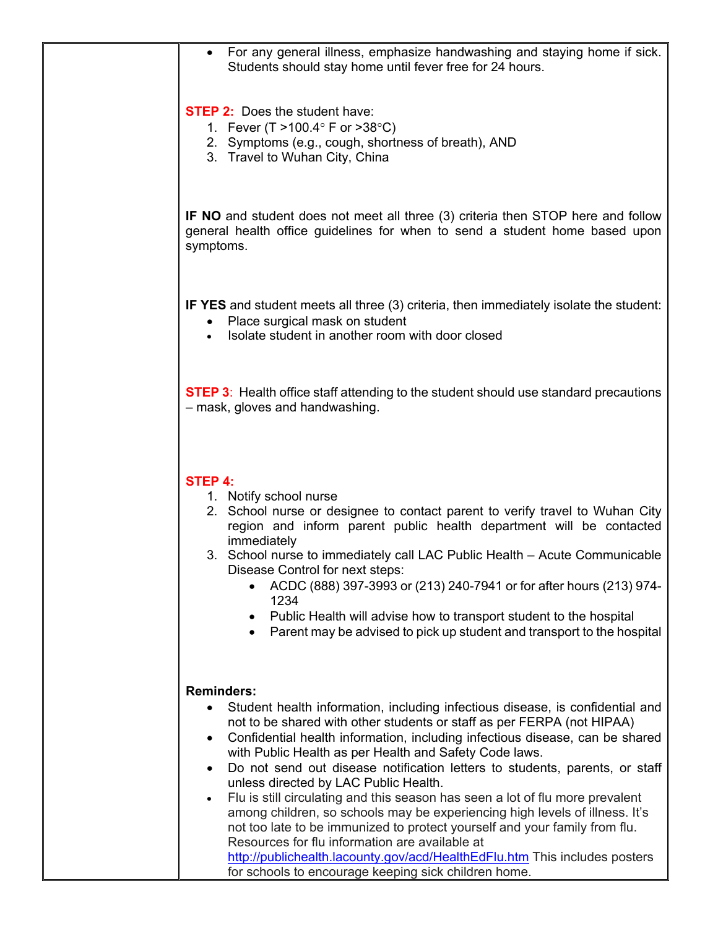| For any general illness, emphasize handwashing and staying home if sick.<br>Students should stay home until fever free for 24 hours.                                                                                                                                                                                                                                                                                                                                                                                                                                                                                                                                                                                                                                                                                                                                                                                        |
|-----------------------------------------------------------------------------------------------------------------------------------------------------------------------------------------------------------------------------------------------------------------------------------------------------------------------------------------------------------------------------------------------------------------------------------------------------------------------------------------------------------------------------------------------------------------------------------------------------------------------------------------------------------------------------------------------------------------------------------------------------------------------------------------------------------------------------------------------------------------------------------------------------------------------------|
| <b>STEP 2:</b> Does the student have:<br>1. Fever (T > 100.4 $\degree$ F or > 38 $\degree$ C)<br>2. Symptoms (e.g., cough, shortness of breath), AND<br>3. Travel to Wuhan City, China                                                                                                                                                                                                                                                                                                                                                                                                                                                                                                                                                                                                                                                                                                                                      |
| <b>IF NO</b> and student does not meet all three (3) criteria then STOP here and follow<br>general health office guidelines for when to send a student home based upon<br>symptoms.                                                                                                                                                                                                                                                                                                                                                                                                                                                                                                                                                                                                                                                                                                                                         |
| <b>IF YES</b> and student meets all three (3) criteria, then immediately isolate the student:<br>Place surgical mask on student<br>٠<br>Isolate student in another room with door closed                                                                                                                                                                                                                                                                                                                                                                                                                                                                                                                                                                                                                                                                                                                                    |
| <b>STEP 3:</b> Health office staff attending to the student should use standard precautions<br>- mask, gloves and handwashing.                                                                                                                                                                                                                                                                                                                                                                                                                                                                                                                                                                                                                                                                                                                                                                                              |
| <b>STEP 4:</b><br>1. Notify school nurse<br>2. School nurse or designee to contact parent to verify travel to Wuhan City<br>region and inform parent public health department will be contacted<br>immediately<br>3. School nurse to immediately call LAC Public Health - Acute Communicable<br>Disease Control for next steps:<br>ACDC (888) 397-3993 or (213) 240-7941 or for after hours (213) 974-<br>1234<br>Public Health will advise how to transport student to the hospital<br>Parent may be advised to pick up student and transport to the hospital                                                                                                                                                                                                                                                                                                                                                              |
| <b>Reminders:</b><br>Student health information, including infectious disease, is confidential and<br>$\bullet$<br>not to be shared with other students or staff as per FERPA (not HIPAA)<br>Confidential health information, including infectious disease, can be shared<br>$\bullet$<br>with Public Health as per Health and Safety Code laws.<br>Do not send out disease notification letters to students, parents, or staff<br>$\bullet$<br>unless directed by LAC Public Health.<br>Flu is still circulating and this season has seen a lot of flu more prevalent<br>among children, so schools may be experiencing high levels of illness. It's<br>not too late to be immunized to protect yourself and your family from flu.<br>Resources for flu information are available at<br>http://publichealth.lacounty.gov/acd/HealthEdFlu.htm This includes posters<br>for schools to encourage keeping sick children home. |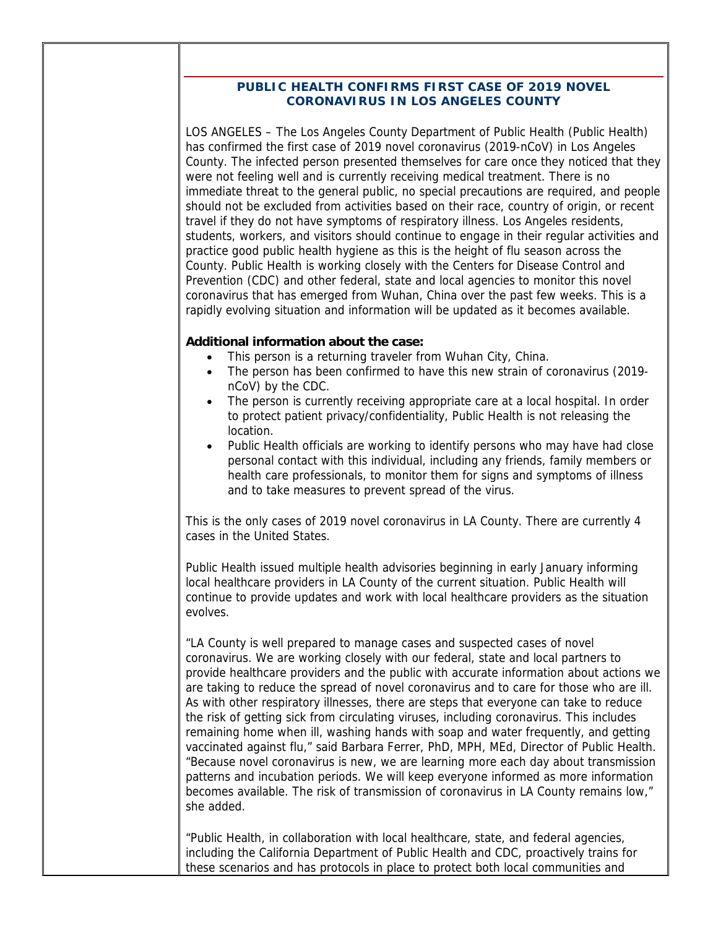#### **PUBLIC HEALTH CONFIRMS FIRST CASE OF 2019 NOVEL CORONAVIRUS IN LOS ANGELES COUNTY**

LOS ANGELES – The Los Angeles County Department of Public Health (Public Health) has confirmed the first case of 2019 novel coronavirus (2019-nCoV) in Los Angeles County. The infected person presented themselves for care once they noticed that they were not feeling well and is currently receiving medical treatment. There is no immediate threat to the general public, no special precautions are required, and people should not be excluded from activities based on their race, country of origin, or recent travel if they do not have symptoms of respiratory illness. Los Angeles residents, students, workers, and visitors should continue to engage in their regular activities and practice good public health hygiene as this is the height of flu season across the County. Public Health is working closely with the Centers for Disease Control and Prevention (CDC) and other federal, state and local agencies to monitor this novel coronavirus that has emerged from Wuhan, China over the past few weeks. This is a rapidly evolving situation and information will be updated as it becomes available.

#### **Additional information about the case:**

- This person is a returning traveler from Wuhan City, China.
- The person has been confirmed to have this new strain of coronavirus (2019 nCoV) by the CDC.
- The person is currently receiving appropriate care at a local hospital. In order to protect patient privacy/confidentiality, Public Health is not releasing the location.
- Public Health officials are working to identify persons who may have had close personal contact with this individual, including any friends, family members or health care professionals, to monitor them for signs and symptoms of illness and to take measures to prevent spread of the virus.

This is the only cases of 2019 novel coronavirus in LA County. There are currently 4 cases in the United States.

Public Health issued multiple health advisories beginning in early January informing local healthcare providers in LA County of the current situation. Public Health will continue to provide updates and work with local healthcare providers as the situation evolves.

"LA County is well prepared to manage cases and suspected cases of novel coronavirus. We are working closely with our federal, state and local partners to provide healthcare providers and the public with accurate information about actions we are taking to reduce the spread of novel coronavirus and to care for those who are ill. As with other respiratory illnesses, there are steps that everyone can take to reduce the risk of getting sick from circulating viruses, including coronavirus. This includes remaining home when ill, washing hands with soap and water frequently, and getting vaccinated against flu," said Barbara Ferrer, PhD, MPH, MEd, Director of Public Health. "Because novel coronavirus is new, we are learning more each day about transmission patterns and incubation periods. We will keep everyone informed as more information becomes available. The risk of transmission of coronavirus in LA County remains low," she added.

"Public Health, in collaboration with local healthcare, state, and federal agencies, including the California Department of Public Health and CDC, proactively trains for these scenarios and has protocols in place to protect both local communities and